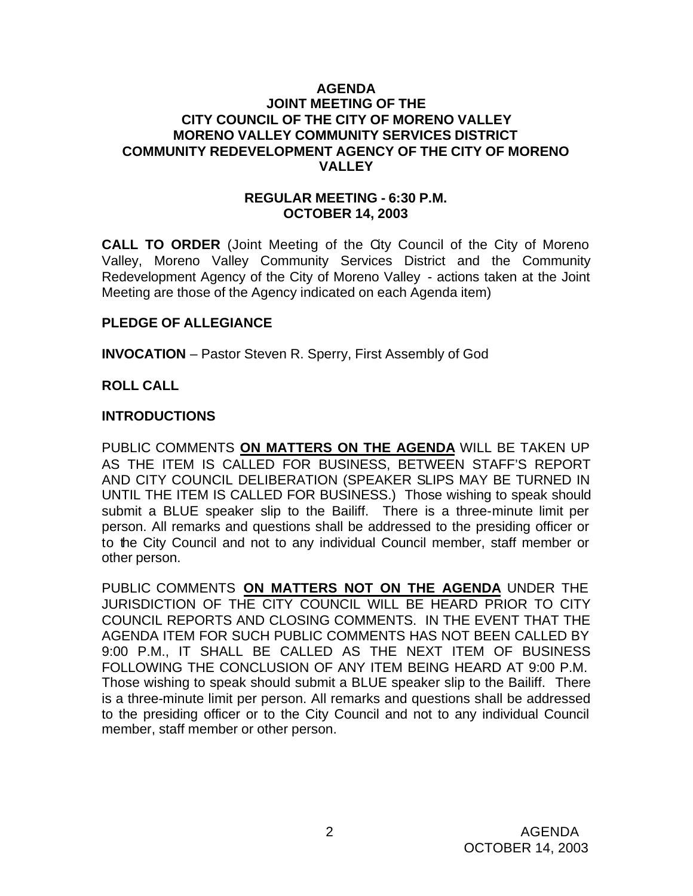### **AGENDA JOINT MEETING OF THE CITY COUNCIL OF THE CITY OF MORENO VALLEY MORENO VALLEY COMMUNITY SERVICES DISTRICT COMMUNITY REDEVELOPMENT AGENCY OF THE CITY OF MORENO VALLEY**

### **REGULAR MEETING - 6:30 P.M. OCTOBER 14, 2003**

**CALL TO ORDER** (Joint Meeting of the City Council of the City of Moreno Valley, Moreno Valley Community Services District and the Community Redevelopment Agency of the City of Moreno Valley - actions taken at the Joint Meeting are those of the Agency indicated on each Agenda item)

## **PLEDGE OF ALLEGIANCE**

**INVOCATION** – Pastor Steven R. Sperry, First Assembly of God

### **ROLL CALL**

### **INTRODUCTIONS**

PUBLIC COMMENTS **ON MATTERS ON THE AGENDA** WILL BE TAKEN UP AS THE ITEM IS CALLED FOR BUSINESS, BETWEEN STAFF'S REPORT AND CITY COUNCIL DELIBERATION (SPEAKER SLIPS MAY BE TURNED IN UNTIL THE ITEM IS CALLED FOR BUSINESS.) Those wishing to speak should submit a BLUE speaker slip to the Bailiff. There is a three-minute limit per person. All remarks and questions shall be addressed to the presiding officer or to the City Council and not to any individual Council member, staff member or other person.

PUBLIC COMMENTS **ON MATTERS NOT ON THE AGENDA** UNDER THE JURISDICTION OF THE CITY COUNCIL WILL BE HEARD PRIOR TO CITY COUNCIL REPORTS AND CLOSING COMMENTS. IN THE EVENT THAT THE AGENDA ITEM FOR SUCH PUBLIC COMMENTS HAS NOT BEEN CALLED BY 9:00 P.M., IT SHALL BE CALLED AS THE NEXT ITEM OF BUSINESS FOLLOWING THE CONCLUSION OF ANY ITEM BEING HEARD AT 9:00 P.M. Those wishing to speak should submit a BLUE speaker slip to the Bailiff. There is a three-minute limit per person. All remarks and questions shall be addressed to the presiding officer or to the City Council and not to any individual Council member, staff member or other person.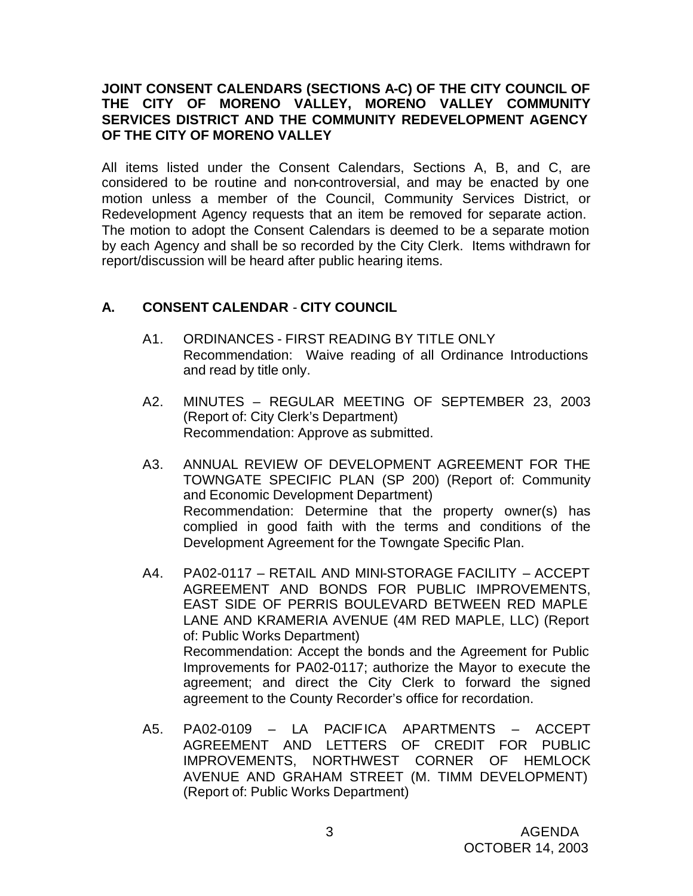## **JOINT CONSENT CALENDARS (SECTIONS A-C) OF THE CITY COUNCIL OF THE CITY OF MORENO VALLEY, MORENO VALLEY COMMUNITY SERVICES DISTRICT AND THE COMMUNITY REDEVELOPMENT AGENCY OF THE CITY OF MORENO VALLEY**

All items listed under the Consent Calendars, Sections A, B, and C, are considered to be routine and non-controversial, and may be enacted by one motion unless a member of the Council, Community Services District, or Redevelopment Agency requests that an item be removed for separate action. The motion to adopt the Consent Calendars is deemed to be a separate motion by each Agency and shall be so recorded by the City Clerk. Items withdrawn for report/discussion will be heard after public hearing items.

# **A. CONSENT CALENDAR** - **CITY COUNCIL**

- A1. ORDINANCES FIRST READING BY TITLE ONLY Recommendation: Waive reading of all Ordinance Introductions and read by title only.
- A2. MINUTES REGULAR MEETING OF SEPTEMBER 23, 2003 (Report of: City Clerk's Department) Recommendation: Approve as submitted.
- A3. ANNUAL REVIEW OF DEVELOPMENT AGREEMENT FOR THE TOWNGATE SPECIFIC PLAN (SP 200) (Report of: Community and Economic Development Department) Recommendation: Determine that the property owner(s) has complied in good faith with the terms and conditions of the Development Agreement for the Towngate Specific Plan.
- A4. PA02-0117 RETAIL AND MINI-STORAGE FACILITY ACCEPT AGREEMENT AND BONDS FOR PUBLIC IMPROVEMENTS, EAST SIDE OF PERRIS BOULEVARD BETWEEN RED MAPLE LANE AND KRAMERIA AVENUE (4M RED MAPLE, LLC) (Report of: Public Works Department) Recommendation: Accept the bonds and the Agreement for Public Improvements for PA02-0117; authorize the Mayor to execute the agreement; and direct the City Clerk to forward the signed agreement to the County Recorder's office for recordation.
- A5. PA02-0109 LA PACIFICA APARTMENTS ACCEPT AGREEMENT AND LETTERS OF CREDIT FOR PUBLIC IMPROVEMENTS, NORTHWEST CORNER OF HEMLOCK AVENUE AND GRAHAM STREET (M. TIMM DEVELOPMENT) (Report of: Public Works Department)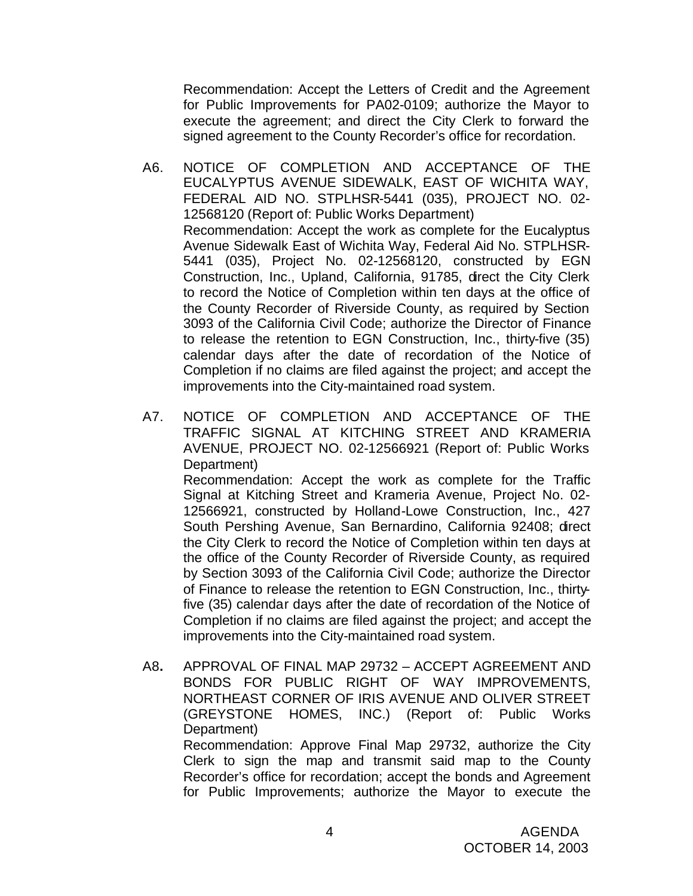Recommendation: Accept the Letters of Credit and the Agreement for Public Improvements for PA02-0109; authorize the Mayor to execute the agreement; and direct the City Clerk to forward the signed agreement to the County Recorder's office for recordation.

- A6. NOTICE OF COMPLETION AND ACCEPTANCE OF THE EUCALYPTUS AVENUE SIDEWALK, EAST OF WICHITA WAY, FEDERAL AID NO. STPLHSR-5441 (035), PROJECT NO. 02- 12568120 (Report of: Public Works Department) Recommendation: Accept the work as complete for the Eucalyptus Avenue Sidewalk East of Wichita Way, Federal Aid No. STPLHSR-5441 (035), Project No. 02-12568120, constructed by EGN Construction, Inc., Upland, California, 91785, direct the City Clerk to record the Notice of Completion within ten days at the office of the County Recorder of Riverside County, as required by Section 3093 of the California Civil Code; authorize the Director of Finance to release the retention to EGN Construction, Inc., thirty-five (35) calendar days after the date of recordation of the Notice of Completion if no claims are filed against the project; and accept the improvements into the City-maintained road system.
- A7. NOTICE OF COMPLETION AND ACCEPTANCE OF THE TRAFFIC SIGNAL AT KITCHING STREET AND KRAMERIA AVENUE, PROJECT NO. 02-12566921 (Report of: Public Works Department)

Recommendation: Accept the work as complete for the Traffic Signal at Kitching Street and Krameria Avenue, Project No. 02- 12566921, constructed by Holland-Lowe Construction, Inc., 427 South Pershing Avenue, San Bernardino, California 92408; direct the City Clerk to record the Notice of Completion within ten days at the office of the County Recorder of Riverside County, as required by Section 3093 of the California Civil Code; authorize the Director of Finance to release the retention to EGN Construction, Inc., thirtyfive (35) calendar days after the date of recordation of the Notice of Completion if no claims are filed against the project; and accept the improvements into the City-maintained road system.

A8**.** APPROVAL OF FINAL MAP 29732 – ACCEPT AGREEMENT AND BONDS FOR PUBLIC RIGHT OF WAY IMPROVEMENTS, NORTHEAST CORNER OF IRIS AVENUE AND OLIVER STREET (GREYSTONE HOMES, INC.) (Report of: Public Works Department) Recommendation: Approve Final Map 29732, authorize the City Clerk to sign the map and transmit said map to the County

Recorder's office for recordation; accept the bonds and Agreement for Public Improvements; authorize the Mayor to execute the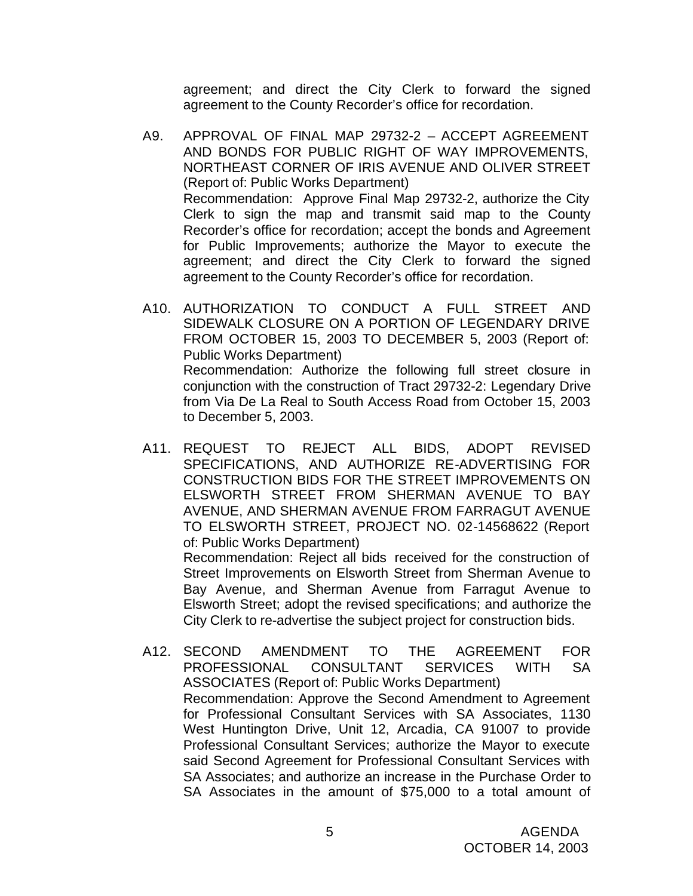agreement; and direct the City Clerk to forward the signed agreement to the County Recorder's office for recordation.

- A9. APPROVAL OF FINAL MAP 29732-2 ACCEPT AGREEMENT AND BONDS FOR PUBLIC RIGHT OF WAY IMPROVEMENTS, NORTHEAST CORNER OF IRIS AVENUE AND OLIVER STREET (Report of: Public Works Department) Recommendation: Approve Final Map 29732-2, authorize the City Clerk to sign the map and transmit said map to the County Recorder's office for recordation; accept the bonds and Agreement for Public Improvements; authorize the Mayor to execute the agreement; and direct the City Clerk to forward the signed agreement to the County Recorder's office for recordation.
- A10. AUTHORIZATION TO CONDUCT A FULL STREET AND SIDEWALK CLOSURE ON A PORTION OF LEGENDARY DRIVE FROM OCTOBER 15, 2003 TO DECEMBER 5, 2003 (Report of: Public Works Department) Recommendation: Authorize the following full street closure in conjunction with the construction of Tract 29732-2: Legendary Drive from Via De La Real to South Access Road from October 15, 2003 to December 5, 2003.
- A11. REQUEST TO REJECT ALL BIDS, ADOPT REVISED SPECIFICATIONS, AND AUTHORIZE RE-ADVERTISING FOR CONSTRUCTION BIDS FOR THE STREET IMPROVEMENTS ON ELSWORTH STREET FROM SHERMAN AVENUE TO BAY AVENUE, AND SHERMAN AVENUE FROM FARRAGUT AVENUE TO ELSWORTH STREET, PROJECT NO. 02-14568622 (Report of: Public Works Department)

Recommendation: Reject all bids received for the construction of Street Improvements on Elsworth Street from Sherman Avenue to Bay Avenue, and Sherman Avenue from Farragut Avenue to Elsworth Street; adopt the revised specifications; and authorize the City Clerk to re-advertise the subject project for construction bids.

A12. SECOND AMENDMENT TO THE AGREEMENT FOR PROFESSIONAL CONSULTANT SERVICES WITH SA ASSOCIATES (Report of: Public Works Department) Recommendation: Approve the Second Amendment to Agreement for Professional Consultant Services with SA Associates, 1130 West Huntington Drive, Unit 12, Arcadia, CA 91007 to provide Professional Consultant Services; authorize the Mayor to execute said Second Agreement for Professional Consultant Services with SA Associates; and authorize an increase in the Purchase Order to SA Associates in the amount of \$75,000 to a total amount of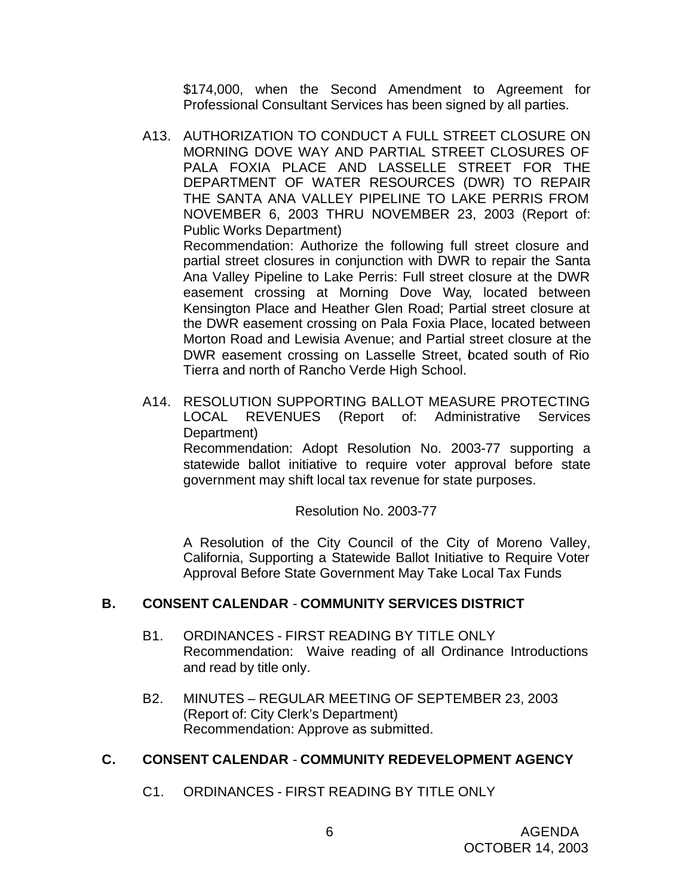\$174,000, when the Second Amendment to Agreement for Professional Consultant Services has been signed by all parties.

A13. AUTHORIZATION TO CONDUCT A FULL STREET CLOSURE ON MORNING DOVE WAY AND PARTIAL STREET CLOSURES OF PALA FOXIA PLACE AND LASSELLE STREET FOR THE DEPARTMENT OF WATER RESOURCES (DWR) TO REPAIR THE SANTA ANA VALLEY PIPELINE TO LAKE PERRIS FROM NOVEMBER 6, 2003 THRU NOVEMBER 23, 2003 (Report of: Public Works Department)

Recommendation: Authorize the following full street closure and partial street closures in conjunction with DWR to repair the Santa Ana Valley Pipeline to Lake Perris: Full street closure at the DWR easement crossing at Morning Dove Way, located between Kensington Place and Heather Glen Road; Partial street closure at the DWR easement crossing on Pala Foxia Place, located between Morton Road and Lewisia Avenue; and Partial street closure at the DWR easement crossing on Lasselle Street, bcated south of Rio Tierra and north of Rancho Verde High School.

A14. RESOLUTION SUPPORTING BALLOT MEASURE PROTECTING LOCAL REVENUES (Report of: Administrative Services Department)

Recommendation: Adopt Resolution No. 2003-77 supporting a statewide ballot initiative to require voter approval before state government may shift local tax revenue for state purposes.

## Resolution No. 2003-77

A Resolution of the City Council of the City of Moreno Valley, California, Supporting a Statewide Ballot Initiative to Require Voter Approval Before State Government May Take Local Tax Funds

## **B. CONSENT CALENDAR** - **COMMUNITY SERVICES DISTRICT**

- B1. ORDINANCES FIRST READING BY TITLE ONLY Recommendation: Waive reading of all Ordinance Introductions and read by title only.
- B2. MINUTES REGULAR MEETING OF SEPTEMBER 23, 2003 (Report of: City Clerk's Department) Recommendation: Approve as submitted.

## **C. CONSENT CALENDAR** - **COMMUNITY REDEVELOPMENT AGENCY**

C1. ORDINANCES - FIRST READING BY TITLE ONLY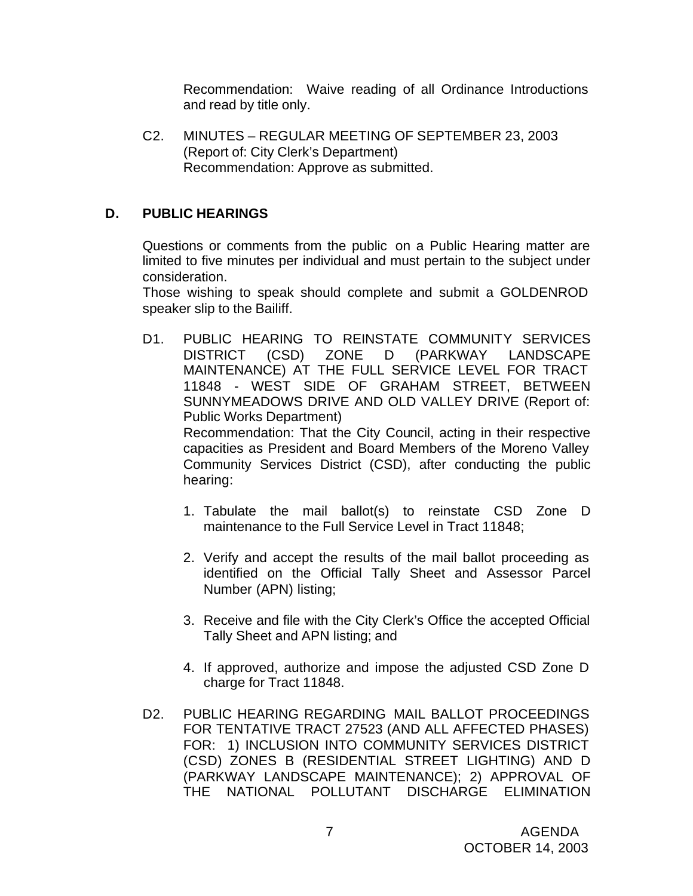Recommendation: Waive reading of all Ordinance Introductions and read by title only.

C2. MINUTES – REGULAR MEETING OF SEPTEMBER 23, 2003 (Report of: City Clerk's Department) Recommendation: Approve as submitted.

# **D. PUBLIC HEARINGS**

Questions or comments from the public on a Public Hearing matter are limited to five minutes per individual and must pertain to the subject under consideration.

Those wishing to speak should complete and submit a GOLDENROD speaker slip to the Bailiff.

D1. PUBLIC HEARING TO REINSTATE COMMUNITY SERVICES DISTRICT (CSD) ZONE D (PARKWAY LANDSCAPE MAINTENANCE) AT THE FULL SERVICE LEVEL FOR TRACT 11848 - WEST SIDE OF GRAHAM STREET, BETWEEN SUNNYMEADOWS DRIVE AND OLD VALLEY DRIVE (Report of: Public Works Department) Recommendation: That the City Council, acting in their respective

capacities as President and Board Members of the Moreno Valley Community Services District (CSD), after conducting the public hearing:

- 1. Tabulate the mail ballot(s) to reinstate CSD Zone D maintenance to the Full Service Level in Tract 11848;
- 2. Verify and accept the results of the mail ballot proceeding as identified on the Official Tally Sheet and Assessor Parcel Number (APN) listing;
- 3. Receive and file with the City Clerk's Office the accepted Official Tally Sheet and APN listing; and
- 4. If approved, authorize and impose the adjusted CSD Zone D charge for Tract 11848.
- D2. PUBLIC HEARING REGARDING MAIL BALLOT PROCEEDINGS FOR TENTATIVE TRACT 27523 (AND ALL AFFECTED PHASES) FOR: 1) INCLUSION INTO COMMUNITY SERVICES DISTRICT (CSD) ZONES B (RESIDENTIAL STREET LIGHTING) AND D (PARKWAY LANDSCAPE MAINTENANCE); 2) APPROVAL OF THE NATIONAL POLLUTANT DISCHARGE ELIMINATION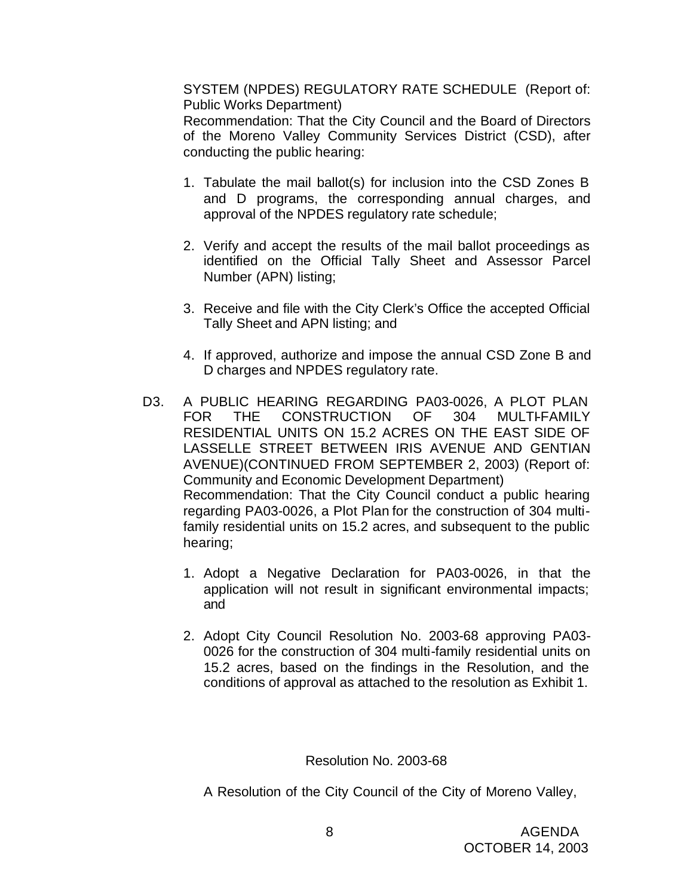SYSTEM (NPDES) REGULATORY RATE SCHEDULE (Report of: Public Works Department)

Recommendation: That the City Council and the Board of Directors of the Moreno Valley Community Services District (CSD), after conducting the public hearing:

- 1. Tabulate the mail ballot(s) for inclusion into the CSD Zones B and D programs, the corresponding annual charges, and approval of the NPDES regulatory rate schedule;
- 2. Verify and accept the results of the mail ballot proceedings as identified on the Official Tally Sheet and Assessor Parcel Number (APN) listing;
- 3. Receive and file with the City Clerk's Office the accepted Official Tally Sheet and APN listing; and
- 4. If approved, authorize and impose the annual CSD Zone B and D charges and NPDES regulatory rate.
- D3. A PUBLIC HEARING REGARDING PA03-0026, A PLOT PLAN FOR THE CONSTRUCTION OF 304 MULTI-FAMILY RESIDENTIAL UNITS ON 15.2 ACRES ON THE EAST SIDE OF LASSELLE STREET BETWEEN IRIS AVENUE AND GENTIAN AVENUE)(CONTINUED FROM SEPTEMBER 2, 2003) (Report of: Community and Economic Development Department) Recommendation: That the City Council conduct a public hearing regarding PA03-0026, a Plot Plan for the construction of 304 multifamily residential units on 15.2 acres, and subsequent to the public hearing;
	- 1. Adopt a Negative Declaration for PA03-0026, in that the application will not result in significant environmental impacts; and
	- 2. Adopt City Council Resolution No. 2003-68 approving PA03- 0026 for the construction of 304 multi-family residential units on 15.2 acres, based on the findings in the Resolution, and the conditions of approval as attached to the resolution as Exhibit 1.

Resolution No. 2003-68

A Resolution of the City Council of the City of Moreno Valley,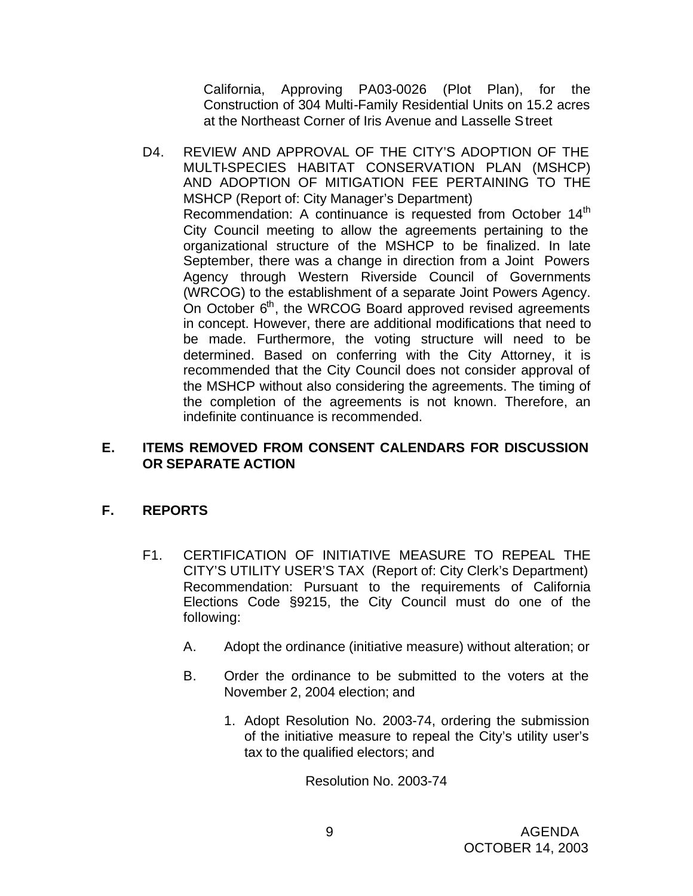California, Approving PA03-0026 (Plot Plan), for the Construction of 304 Multi-Family Residential Units on 15.2 acres at the Northeast Corner of Iris Avenue and Lasselle Street

D4. REVIEW AND APPROVAL OF THE CITY'S ADOPTION OF THE MULTI-SPECIES HABITAT CONSERVATION PLAN (MSHCP) AND ADOPTION OF MITIGATION FEE PERTAINING TO THE MSHCP (Report of: City Manager's Department) Recommendation: A continuance is requested from October 14<sup>th</sup> City Council meeting to allow the agreements pertaining to the organizational structure of the MSHCP to be finalized. In late September, there was a change in direction from a Joint Powers Agency through Western Riverside Council of Governments (WRCOG) to the establishment of a separate Joint Powers Agency. On October 6<sup>th</sup>, the WRCOG Board approved revised agreements in concept. However, there are additional modifications that need to be made. Furthermore, the voting structure will need to be determined. Based on conferring with the City Attorney, it is recommended that the City Council does not consider approval of the MSHCP without also considering the agreements. The timing of the completion of the agreements is not known. Therefore, an indefinite continuance is recommended.

# **E. ITEMS REMOVED FROM CONSENT CALENDARS FOR DISCUSSION OR SEPARATE ACTION**

# **F. REPORTS**

- F1. CERTIFICATION OF INITIATIVE MEASURE TO REPEAL THE CITY'S UTILITY USER'S TAX (Report of: City Clerk's Department) Recommendation: Pursuant to the requirements of California Elections Code §9215, the City Council must do one of the following:
	- A. Adopt the ordinance (initiative measure) without alteration; or
	- B. Order the ordinance to be submitted to the voters at the November 2, 2004 election; and
		- 1. Adopt Resolution No. 2003-74, ordering the submission of the initiative measure to repeal the City's utility user's tax to the qualified electors; and

Resolution No. 2003-74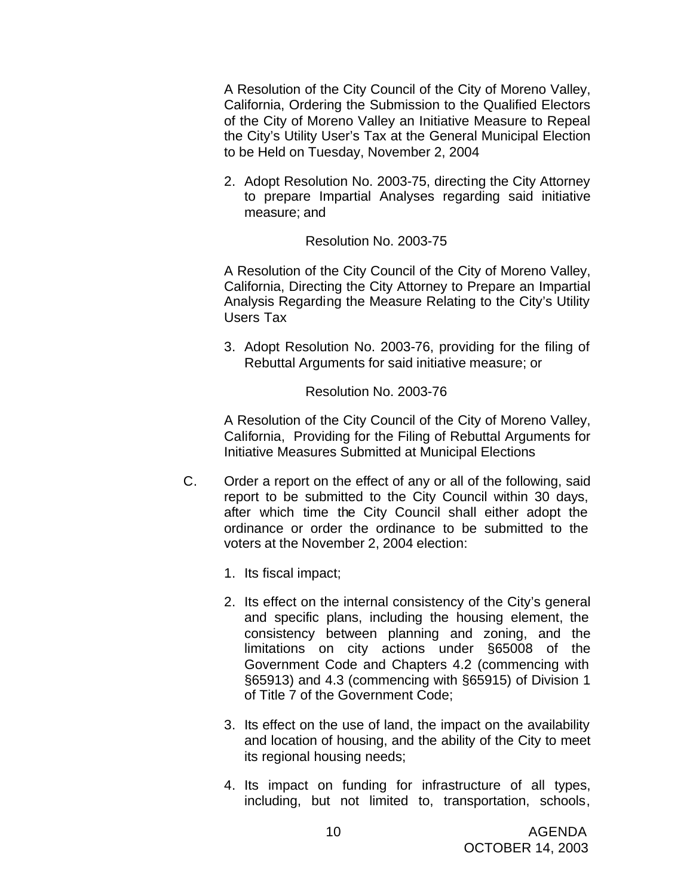A Resolution of the City Council of the City of Moreno Valley, California, Ordering the Submission to the Qualified Electors of the City of Moreno Valley an Initiative Measure to Repeal the City's Utility User's Tax at the General Municipal Election to be Held on Tuesday, November 2, 2004

2. Adopt Resolution No. 2003-75, directing the City Attorney to prepare Impartial Analyses regarding said initiative measure; and

#### Resolution No. 2003-75

A Resolution of the City Council of the City of Moreno Valley, California, Directing the City Attorney to Prepare an Impartial Analysis Regarding the Measure Relating to the City's Utility Users Tax

3. Adopt Resolution No. 2003-76, providing for the filing of Rebuttal Arguments for said initiative measure; or

Resolution No. 2003-76

A Resolution of the City Council of the City of Moreno Valley, California, Providing for the Filing of Rebuttal Arguments for Initiative Measures Submitted at Municipal Elections

- C. Order a report on the effect of any or all of the following, said report to be submitted to the City Council within 30 days, after which time the City Council shall either adopt the ordinance or order the ordinance to be submitted to the voters at the November 2, 2004 election:
	- 1. Its fiscal impact;
	- 2. Its effect on the internal consistency of the City's general and specific plans, including the housing element, the consistency between planning and zoning, and the limitations on city actions under §65008 of the Government Code and Chapters 4.2 (commencing with §65913) and 4.3 (commencing with §65915) of Division 1 of Title 7 of the Government Code;
	- 3. Its effect on the use of land, the impact on the availability and location of housing, and the ability of the City to meet its regional housing needs;
	- 4. Its impact on funding for infrastructure of all types, including, but not limited to, transportation, schools,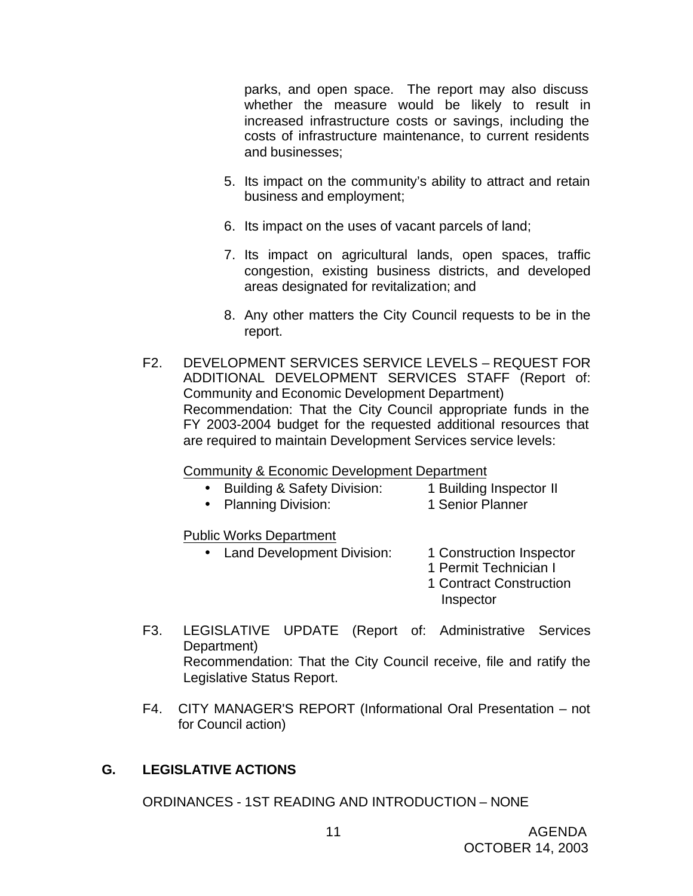parks, and open space. The report may also discuss whether the measure would be likely to result in increased infrastructure costs or savings, including the costs of infrastructure maintenance, to current residents and businesses;

- 5. Its impact on the community's ability to attract and retain business and employment;
- 6. Its impact on the uses of vacant parcels of land;
- 7. Its impact on agricultural lands, open spaces, traffic congestion, existing business districts, and developed areas designated for revitalization; and
- 8. Any other matters the City Council requests to be in the report.
- F2. DEVELOPMENT SERVICES SERVICE LEVELS REQUEST FOR ADDITIONAL DEVELOPMENT SERVICES STAFF (Report of: Community and Economic Development Department) Recommendation: That the City Council appropriate funds in the FY 2003-2004 budget for the requested additional resources that are required to maintain Development Services service levels:

Community & Economic Development Department

- Building & Safety Division: 1 Building Inspector II
	-
- Planning Division: 1 Senior Planner
- 

Public Works Department

- Land Development Division: 1 Construction Inspector
	-
	- 1 Permit Technician I
	- 1 Contract Construction Inspector
- F3. LEGISLATIVE UPDATE (Report of: Administrative Services Department) Recommendation: That the City Council receive, file and ratify the Legislative Status Report.
- F4. CITY MANAGER'S REPORT (Informational Oral Presentation not for Council action)

# **G. LEGISLATIVE ACTIONS**

ORDINANCES - 1ST READING AND INTRODUCTION – NONE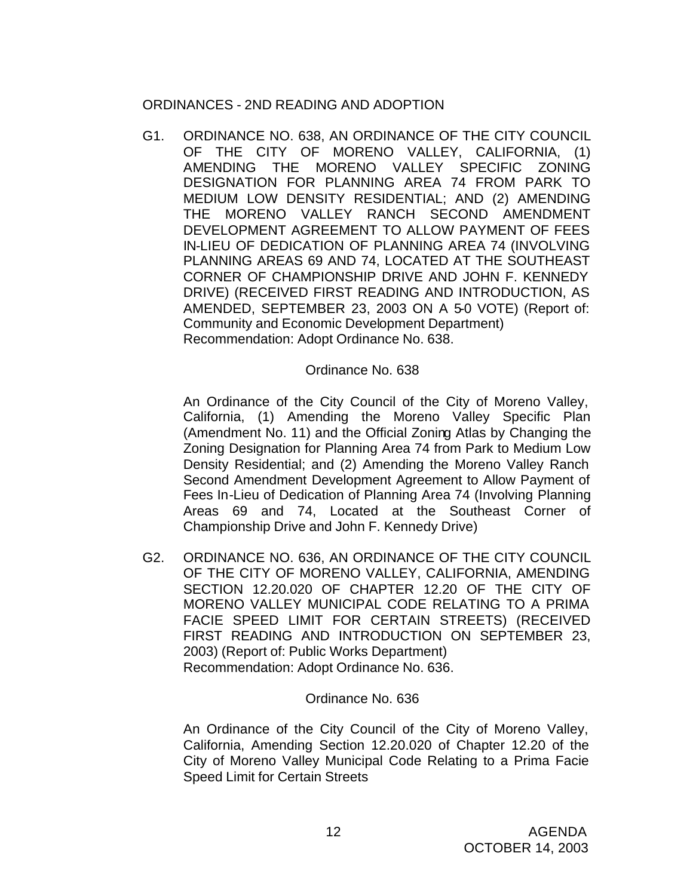# ORDINANCES - 2ND READING AND ADOPTION

G1. ORDINANCE NO. 638, AN ORDINANCE OF THE CITY COUNCIL OF THE CITY OF MORENO VALLEY, CALIFORNIA, (1) AMENDING THE MORENO VALLEY SPECIFIC ZONING DESIGNATION FOR PLANNING AREA 74 FROM PARK TO MEDIUM LOW DENSITY RESIDENTIAL; AND (2) AMENDING THE MORENO VALLEY RANCH SECOND AMENDMENT DEVELOPMENT AGREEMENT TO ALLOW PAYMENT OF FEES IN-LIEU OF DEDICATION OF PLANNING AREA 74 (INVOLVING PLANNING AREAS 69 AND 74, LOCATED AT THE SOUTHEAST CORNER OF CHAMPIONSHIP DRIVE AND JOHN F. KENNEDY DRIVE) (RECEIVED FIRST READING AND INTRODUCTION, AS AMENDED, SEPTEMBER 23, 2003 ON A 5-0 VOTE) (Report of: Community and Economic Development Department) Recommendation: Adopt Ordinance No. 638.

### Ordinance No. 638

An Ordinance of the City Council of the City of Moreno Valley, California, (1) Amending the Moreno Valley Specific Plan (Amendment No. 11) and the Official Zoning Atlas by Changing the Zoning Designation for Planning Area 74 from Park to Medium Low Density Residential; and (2) Amending the Moreno Valley Ranch Second Amendment Development Agreement to Allow Payment of Fees In-Lieu of Dedication of Planning Area 74 (Involving Planning Areas 69 and 74, Located at the Southeast Corner of Championship Drive and John F. Kennedy Drive)

G2. ORDINANCE NO. 636, AN ORDINANCE OF THE CITY COUNCIL OF THE CITY OF MORENO VALLEY, CALIFORNIA, AMENDING SECTION 12.20.020 OF CHAPTER 12.20 OF THE CITY OF MORENO VALLEY MUNICIPAL CODE RELATING TO A PRIMA FACIE SPEED LIMIT FOR CERTAIN STREETS) (RECEIVED FIRST READING AND INTRODUCTION ON SEPTEMBER 23, 2003) (Report of: Public Works Department) Recommendation: Adopt Ordinance No. 636.

#### Ordinance No. 636

An Ordinance of the City Council of the City of Moreno Valley, California, Amending Section 12.20.020 of Chapter 12.20 of the City of Moreno Valley Municipal Code Relating to a Prima Facie Speed Limit for Certain Streets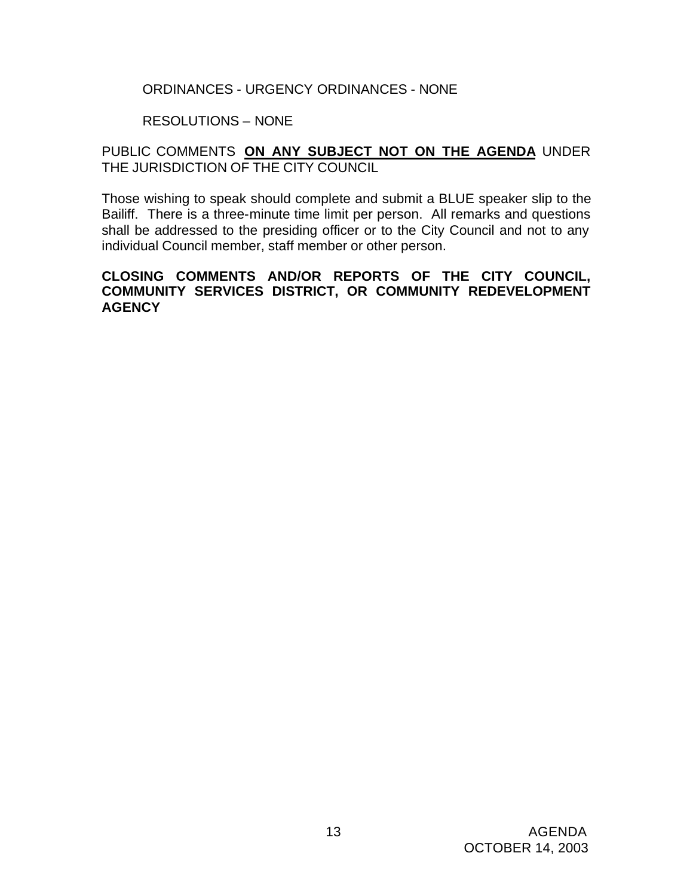## ORDINANCES - URGENCY ORDINANCES - NONE

# RESOLUTIONS – NONE

# PUBLIC COMMENTS **ON ANY SUBJECT NOT ON THE AGENDA** UNDER THE JURISDICTION OF THE CITY COUNCIL

Those wishing to speak should complete and submit a BLUE speaker slip to the Bailiff. There is a three-minute time limit per person. All remarks and questions shall be addressed to the presiding officer or to the City Council and not to any individual Council member, staff member or other person.

### **CLOSING COMMENTS AND/OR REPORTS OF THE CITY COUNCIL, COMMUNITY SERVICES DISTRICT, OR COMMUNITY REDEVELOPMENT AGENCY**